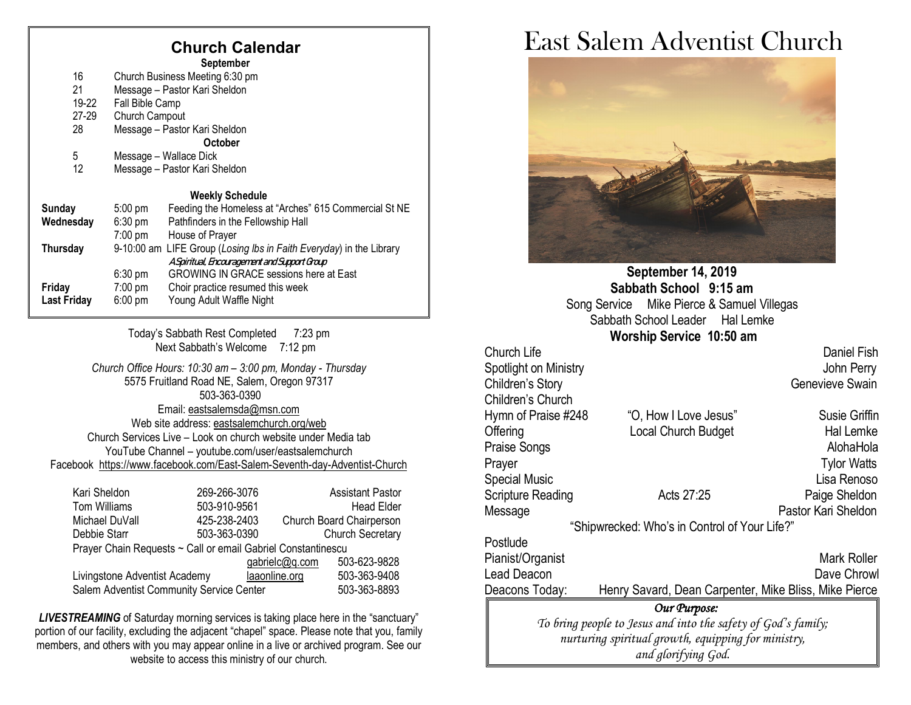## **Church Calendar**

|                    |                                 | <b>September</b>                                                    |  |
|--------------------|---------------------------------|---------------------------------------------------------------------|--|
| 16                 | Church Business Meeting 6:30 pm |                                                                     |  |
| 21                 | Message - Pastor Kari Sheldon   |                                                                     |  |
| 19-22              | Fall Bible Camp                 |                                                                     |  |
| 27-29              | Church Campout                  |                                                                     |  |
| 28                 | Message - Pastor Kari Sheldon   |                                                                     |  |
|                    |                                 | <b>October</b>                                                      |  |
| 5                  | Message – Wallace Dick          |                                                                     |  |
| 12                 | Message - Pastor Kari Sheldon   |                                                                     |  |
|                    |                                 | <b>Weekly Schedule</b>                                              |  |
| <b>Sunday</b>      | $5:00$ pm                       | Feeding the Homeless at "Arches" 615 Commercial St NE               |  |
| Wednesday          | $6:30$ pm                       | Pathfinders in the Fellowship Hall                                  |  |
|                    | $7:00 \text{ pm}$               | House of Prayer                                                     |  |
| Thursday           |                                 | 9-10:00 am LIFE Group (Losing Ibs in Faith Everyday) in the Library |  |
|                    |                                 | A Spiritual, Encouragement and Support Group                        |  |
|                    | $6:30$ pm                       | <b>GROWING IN GRACE sessions here at East</b>                       |  |
| Friday             | $7:00 \text{ pm}$               | Choir practice resumed this week                                    |  |
| <b>Last Friday</b> | $6:00 \text{ pm}$               | Young Adult Waffle Night                                            |  |
|                    |                                 |                                                                     |  |

Today's Sabbath Rest Completed 7:23 pm Next Sabbath's Welcome 7:12 pm

*Church Office Hours: 10:30 am – 3:00 pm, Monday - Thursday* 5575 Fruitland Road NE, Salem, Oregon 97317 503-363-0390 Email: [eastsalemsda@msn.com](mailto:eastsalemsda@msn.com) Web site address[: eastsalemchurch.org/](http://eastsalem.adventists.info/)web Church Services Live – Look on church website under Media tab YouTube Channel – youtube.com/user/eastsalemchurch Facebook [https://www.facebook.com/East-Salem-Seventh-day-Adventist-Church](https://www.facebook.com/East-Salem-Seventh-day-Adventist-Church-111402832212994/?fref=ts)

| Kari Sheldon                                                 | 269-266-3076 |                | <b>Assistant Pastor</b>  |  |
|--------------------------------------------------------------|--------------|----------------|--------------------------|--|
| Tom Williams                                                 | 503-910-9561 |                | <b>Head Elder</b>        |  |
| Michael DuVall                                               | 425-238-2403 |                | Church Board Chairperson |  |
| Debbie Starr                                                 | 503-363-0390 |                | <b>Church Secretary</b>  |  |
| Prayer Chain Requests ~ Call or email Gabriel Constantinescu |              |                |                          |  |
|                                                              |              | gabrielc@q.com | 503-623-9828             |  |
| Livingstone Adventist Academy                                |              | laaonline.org  | 503-363-9408             |  |
| Salem Adventist Community Service Center                     |              |                | 503-363-8893             |  |

**LIVESTREAMING** of Saturday morning services is taking place here in the "sanctuary" portion of our facility, excluding the adjacent "chapel" space. Please note that you, family members, and others with you may appear online in a live or archived program. See our website to access this ministry of our church.

# East Salem Adventist Church



**September 14, 2019 Sabbath School 9:15 am** Song Service Mike Pierce & Samuel Villegas Sabbath School Leader Hal Lemke **Worship Service 10:50 am** 

Church Life Daniel Fish Spotlight on Ministry **Spotlight on Ministry John Perry** Children's Story **Genevieve Swain** Children's Church Hymn of Praise #248 "O, How I Love Jesus" Susie Griffin Offering Contract Local Church Budget Contract Hal Lemke Praise Songs **AlohaHola** Prayer Tylor Watts Special Music **Contract Contract Contract Contract Contract Contract Contract Contract Contract Contract Contract Contract Contract Contract Contract Contract Contract Contract Contract Contract Contract Contract Contract** Scripture Reading **Acts 27:25** Paige Sheldon Message **Pastor Kari Sheldon** "Shipwrecked: Who's in Control of Your Life?" **Postlude** Pianist/Organist Mark Roller Lead Deacon **Dave Chrowl** Dave Chrowl Deacons Today: Henry Savard, Dean Carpenter, Mike Bliss, Mike Pierce *Our Purpose: To bring people to Jesus and into the safety of God's family; nurturing spiritual growth, equipping for ministry, and glorifying God.*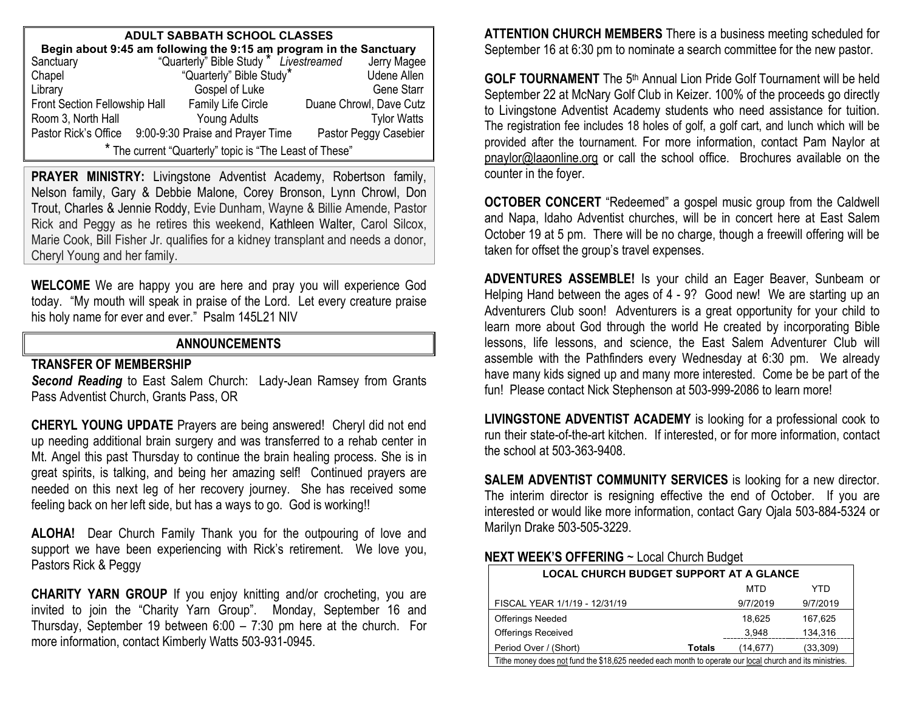| <b>ADULT SABBATH SCHOOL CLASSES</b>                                                                                                     |  |                          |  |                         |  |
|-----------------------------------------------------------------------------------------------------------------------------------------|--|--------------------------|--|-------------------------|--|
| <b>Begin about 9:45 am following the 9:15 am program in the Sanctuary</b><br>anctuary "Quarterly" Bible Study * Livestreamed Jerry Mage |  |                          |  |                         |  |
| Sanctuary                                                                                                                               |  |                          |  | Jerry Magee             |  |
| Chapel                                                                                                                                  |  | "Quarterly" Bible Study* |  | <b>Udene Allen</b>      |  |
| Library                                                                                                                                 |  | Gospel of Luke           |  | <b>Gene Starr</b>       |  |
| Front Section Fellowship Hall                                                                                                           |  | Family Life Circle       |  | Duane Chrowl, Dave Cutz |  |
| Room 3, North Hall                                                                                                                      |  | Young Adults             |  | <b>Tylor Watts</b>      |  |
| Pastor Rick's Office 9:00-9:30 Praise and Prayer Time                                                                                   |  |                          |  | Pastor Peggy Casebier   |  |
| * The current "Quarterly" topic is "The Least of These"                                                                                 |  |                          |  |                         |  |

PRAYER MINISTRY: Livingstone Adventist Academy, Robertson family, Nelson family, Gary & Debbie Malone, Corey Bronson, Lynn Chrowl, Don Trout, Charles & Jennie Roddy, Evie Dunham, Wayne & Billie Amende, Pastor Rick and Peggy as he retires this weekend, Kathleen Walter, Carol Silcox, Marie Cook, Bill Fisher Jr. qualifies for a kidney transplant and needs a donor, Cheryl Young and her family.

**WELCOME** We are happy you are here and pray you will experience God today. "My mouth will speak in praise of the Lord. Let every creature praise his holy name for ever and ever." Psalm 145L21 NIV

#### **ANNOUNCEMENTS**

#### **TRANSFER OF MEMBERSHIP**

*Second Reading* to East Salem Church: Lady-Jean Ramsey from Grants Pass Adventist Church, Grants Pass, OR

**CHERYL YOUNG UPDATE** Prayers are being answered! Cheryl did not end up needing additional brain surgery and was transferred to a rehab center in Mt. Angel this past Thursday to continue the brain healing process. She is in great spirits, is talking, and being her amazing self! Continued prayers are needed on this next leg of her recovery journey. She has received some feeling back on her left side, but has a ways to go. God is working!!

**ALOHA!** Dear Church Family Thank you for the outpouring of love and support we have been experiencing with Rick's retirement. We love you, Pastors Rick & Peggy

**CHARITY YARN GROUP** If you enjoy knitting and/or crocheting, you are invited to join the "Charity Yarn Group". Monday, September 16 and Thursday, September 19 between 6:00 – 7:30 pm here at the church. For more information, contact Kimberly Watts 503-931-0945.

**ATTENTION CHURCH MEMBERS** There is a business meeting scheduled for September 16 at 6:30 pm to nominate a search committee for the new pastor.

**GOLF TOURNAMENT** The 5<sup>th</sup> Annual Lion Pride Golf Tournament will be held September 22 at McNary Golf Club in Keizer. 100% of the proceeds go directly to Livingstone Adventist Academy students who need assistance for tuition. The registration fee includes 18 holes of golf, a golf cart, and lunch which will be provided after the tournament. For more information, contact Pam Naylor at [pnaylor@laaonline.org](mailto:pnaylor@laaonline.org) or call the school office. Brochures available on the counter in the foyer.

**OCTOBER CONCERT** "Redeemed" a gospel music group from the Caldwell and Napa, Idaho Adventist churches, will be in concert here at East Salem October 19 at 5 pm. There will be no charge, though a freewill offering will be taken for offset the group's travel expenses.

**ADVENTURES ASSEMBLE!** Is your child an Eager Beaver, Sunbeam or Helping Hand between the ages of 4 - 9? Good new! We are starting up an Adventurers Club soon! Adventurers is a great opportunity for your child to learn more about God through the world He created by incorporating Bible lessons, life lessons, and science, the East Salem Adventurer Club will assemble with the Pathfinders every Wednesday at 6:30 pm. We already have many kids signed up and many more interested. Come be be part of the fun! Please contact Nick Stephenson at 503-999-2086 to learn more!

**LIVINGSTONE ADVENTIST ACADEMY** is looking for a professional cook to run their state-of-the-art kitchen. If interested, or for more information, contact the school at 503-363-9408.

**SALEM ADVENTIST COMMUNITY SERVICES** is looking for a new director. The interim director is resigning effective the end of October. If you are interested or would like more information, contact Gary Ojala 503-884-5324 or Marilyn Drake 503-505-3229.

#### **NEXT WEEK'S OFFERING** ~ Local Church Budget

| <b>LOCAL CHURCH BUDGET SUPPORT AT A GLANCE</b>                                                           |               |          |           |
|----------------------------------------------------------------------------------------------------------|---------------|----------|-----------|
|                                                                                                          |               | MTD      | YTD       |
| FISCAL YEAR 1/1/19 - 12/31/19                                                                            |               | 9/7/2019 | 9/7/2019  |
| <b>Offerings Needed</b>                                                                                  |               | 18.625   | 167.625   |
| <b>Offerings Received</b>                                                                                |               | 3,948    | 134,316   |
| Period Over / (Short)                                                                                    | <b>Totals</b> | (14,677) | (33, 309) |
| Tithe money does not fund the \$18,625 needed each month to operate our local church and its ministries. |               |          |           |